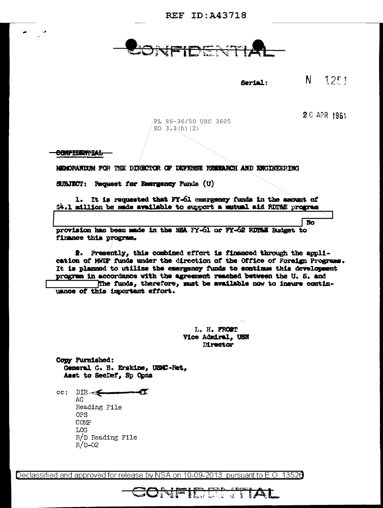REF TD: 343718

 $N = 12F1$ Serial:

20 APR 1961

No

PL 86-36/50 USC 3605 EO  $3.3(h)$  (2)

CONPIDENTIAL

MEMORANIXIM FOR THE DIRECTOR OF DEFENSE RESEARCH AND ENGINEERING

SUBJECT: Request for Emergency Funds (U)

1. It is requested that FY-61 emergency funds in the amount of \$4.1 million be made available to support a mutual aid RUT&E program

provision has been made in the NSA FY-61 or FY-62 RDT&E Budget to finance this program.

2. Presently, this combined effort is financed through the application of MMUP funds under the direction of the Office of Foreign Programs. It is planned to utilize the emergency funds to continue this development progrem in accordance with the agreement reached between the U. S. and The funds, therefore, must be available now to insure continuance of this important effort.

> L. H. FROST Vice Admiral. USN **Mrector**

**CONFIEDED TIAL** 

Copy Furnished: General G. B. Erskine, USAC-Ret, Asst to SecDef, Sp Opna

 $cc:$  DIR- $\leq$   $\leq$   $\leq$   $\leq$   $\leq$   $\leq$   $\leq$   $\leq$   $\leq$   $\leq$   $\leq$   $\leq$   $\leq$   $\leq$   $\leq$   $\leq$   $\leq$   $\leq$   $\leq$   $\leq$   $\leq$   $\leq$   $\leq$   $\leq$   $\leq$   $\leq$   $\leq$   $\leq$   $\leq$   $\leq$   $\leq$   $\leq$   $\leq$   $\leq$   $\leq$   $\$ AG Reading File **OPS** COMP LOG  $R/D$  Reading File  $R/D-02$ 

Declassified and approved for release by NSA on 10-09-2013 pursuant to E.O. 13526